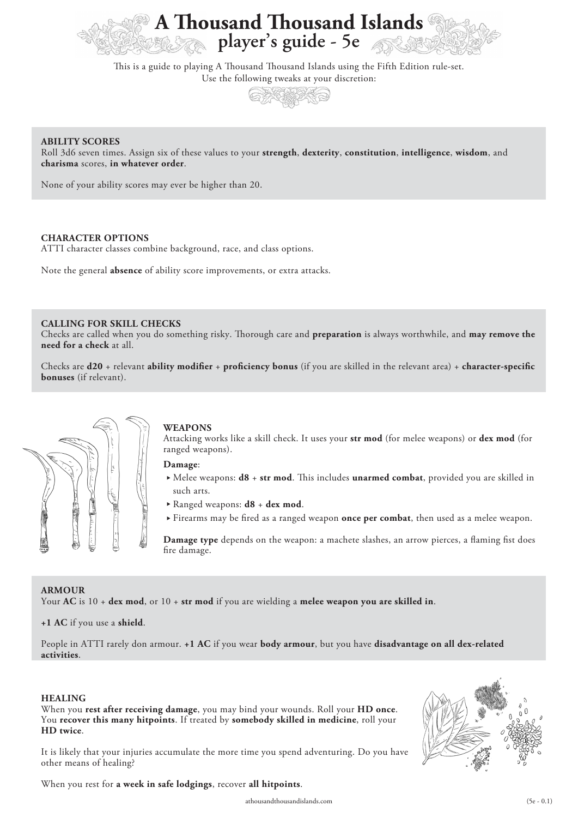

This is a guide to playing A Thousand Thousand Islands using the Fifth Edition rule-set. Use the following tweaks at your discretion:



### **ABILITY SCORES**

Roll 3d6 seven times. Assign six of these values to your **strength**, **dexterity**, **constitution**, **intelligence**, **wisdom**, and **charisma** scores, **in whatever order**.

None of your ability scores may ever be higher than 20.

### **CHARACTER OPTIONS**

ATTI character classes combine background, race, and class options.

Note the general **absence** of ability score improvements, or extra attacks.

## **CALLING FOR SKILL CHECKS**

Checks are called when you do something risky. Thorough care and **preparation** is always worthwhile, and may remove the **need for a check** at all.

Checks are **d20** + relevant **ability modifier** + **proficiency bonus** (if you are skilled in the relevant area) + **character-specific bonuses** (if relevant).



#### **WEAPONS**

Attacking works like a skill check. It uses your **str mod** (for melee weapons) or **dex mod** (for ranged weapons).

**Damage**:

- ▶ Melee weapons: **d8** + **str mod**. This includes **unarmed combat**, provided you are skilled in such arts.
- Ranged weapons: **d8** + **dex mod**.
- Firearms may be fired as a ranged weapon **once per combat**, then used as a melee weapon.

**Damage type** depends on the weapon: a machete slashes, an arrow pierces, a flaming fist does fire damage.

### **ARMOUR**

Your **AC** is 10 + **dex mod**, or 10 + **str mod** if you are wielding a **melee weapon you are skilled in**.

**+1 AC** if you use a **shield**.

People in ATTI rarely don armour. **+1 AC** if you wear **body armour**, but you have **disadvantage on all dex-related activities**.

#### **HEALING**

When you **rest after receiving damage**, you may bind your wounds. Roll your **HD once**. You **recover this many hitpoints**. If treated by **somebody skilled in medicine**, roll your **HD twice**.





When you rest for **a week in safe lodgings**, recover **all hitpoints**.